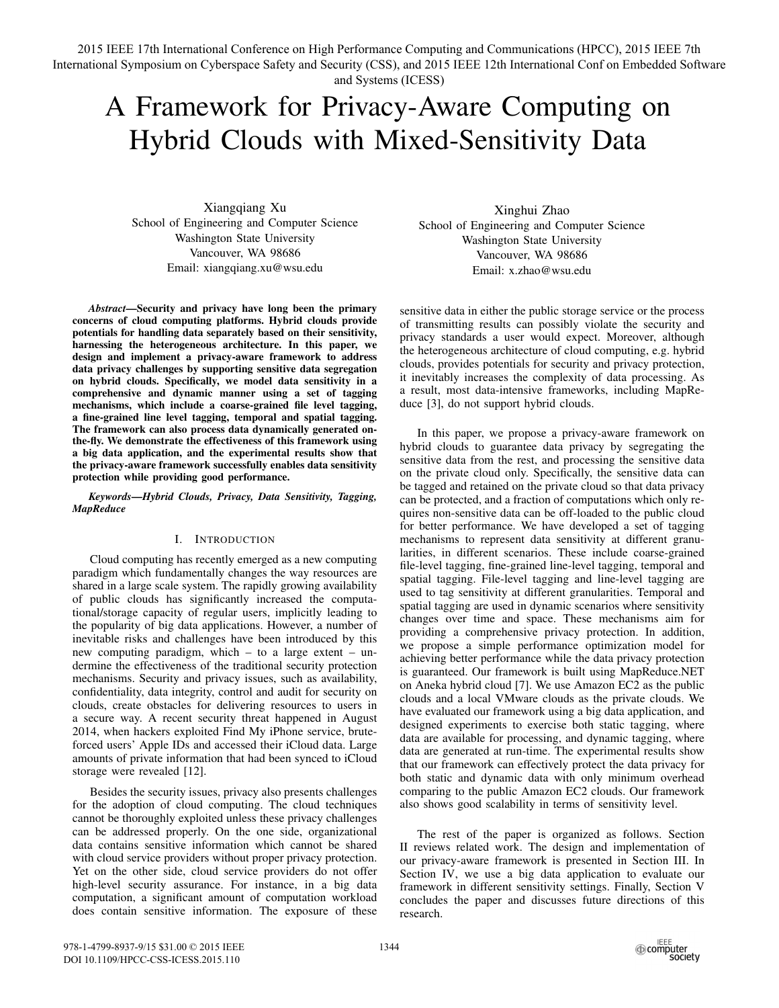2015 IEEE 17th International Conference on High Performance Computing and Communications (HPCC), 2015 IEEE 7th International Symposium on Cyberspace Safety and Security (CSS), and 2015 IEEE 12th International Conf on Embedded Software and Systems (ICESS)

# A Framework for Privacy-Aware Computing on Hybrid Clouds with Mixed-Sensitivity Data

Xiangqiang Xu School of Engineering and Computer Science Washington State University Vancouver, WA 98686 Email: xiangqiang.xu@wsu.edu

*Abstract*—Security and privacy have long been the primary concerns of cloud computing platforms. Hybrid clouds provide potentials for handling data separately based on their sensitivity, harnessing the heterogeneous architecture. In this paper, we design and implement a privacy-aware framework to address data privacy challenges by supporting sensitive data segregation on hybrid clouds. Specifically, we model data sensitivity in a comprehensive and dynamic manner using a set of tagging mechanisms, which include a coarse-grained file level tagging, a fine-grained line level tagging, temporal and spatial tagging. The framework can also process data dynamically generated onthe-fly. We demonstrate the effectiveness of this framework using a big data application, and the experimental results show that the privacy-aware framework successfully enables data sensitivity protection while providing good performance.

*Keywords*—*Hybrid Clouds, Privacy, Data Sensitivity, Tagging, MapReduce*

## I. INTRODUCTION

Cloud computing has recently emerged as a new computing paradigm which fundamentally changes the way resources are shared in a large scale system. The rapidly growing availability of public clouds has significantly increased the computational/storage capacity of regular users, implicitly leading to the popularity of big data applications. However, a number of inevitable risks and challenges have been introduced by this new computing paradigm, which – to a large extent – undermine the effectiveness of the traditional security protection mechanisms. Security and privacy issues, such as availability, confidentiality, data integrity, control and audit for security on clouds, create obstacles for delivering resources to users in a secure way. A recent security threat happened in August 2014, when hackers exploited Find My iPhone service, bruteforced users' Apple IDs and accessed their iCloud data. Large amounts of private information that had been synced to iCloud storage were revealed [12].

Besides the security issues, privacy also presents challenges for the adoption of cloud computing. The cloud techniques cannot be thoroughly exploited unless these privacy challenges can be addressed properly. On the one side, organizational data contains sensitive information which cannot be shared with cloud service providers without proper privacy protection. Yet on the other side, cloud service providers do not offer high-level security assurance. For instance, in a big data computation, a significant amount of computation workload does contain sensitive information. The exposure of these

Xinghui Zhao School of Engineering and Computer Science Washington State University Vancouver, WA 98686 Email: x.zhao@wsu.edu

sensitive data in either the public storage service or the process of transmitting results can possibly violate the security and privacy standards a user would expect. Moreover, although the heterogeneous architecture of cloud computing, e.g. hybrid clouds, provides potentials for security and privacy protection, it inevitably increases the complexity of data processing. As a result, most data-intensive frameworks, including MapReduce [3], do not support hybrid clouds.

In this paper, we propose a privacy-aware framework on hybrid clouds to guarantee data privacy by segregating the sensitive data from the rest, and processing the sensitive data on the private cloud only. Specifically, the sensitive data can be tagged and retained on the private cloud so that data privacy can be protected, and a fraction of computations which only requires non-sensitive data can be off-loaded to the public cloud for better performance. We have developed a set of tagging mechanisms to represent data sensitivity at different granularities, in different scenarios. These include coarse-grained file-level tagging, fine-grained line-level tagging, temporal and spatial tagging. File-level tagging and line-level tagging are used to tag sensitivity at different granularities. Temporal and spatial tagging are used in dynamic scenarios where sensitivity changes over time and space. These mechanisms aim for providing a comprehensive privacy protection. In addition, we propose a simple performance optimization model for achieving better performance while the data privacy protection is guaranteed. Our framework is built using MapReduce.NET on Aneka hybrid cloud [7]. We use Amazon EC2 as the public clouds and a local VMware clouds as the private clouds. We have evaluated our framework using a big data application, and designed experiments to exercise both static tagging, where data are available for processing, and dynamic tagging, where data are generated at run-time. The experimental results show that our framework can effectively protect the data privacy for both static and dynamic data with only minimum overhead comparing to the public Amazon EC2 clouds. Our framework also shows good scalability in terms of sensitivity level.

The rest of the paper is organized as follows. Section II reviews related work. The design and implementation of our privacy-aware framework is presented in Section III. In Section IV, we use a big data application to evaluate our framework in different sensitivity settings. Finally, Section V concludes the paper and discusses future directions of this research.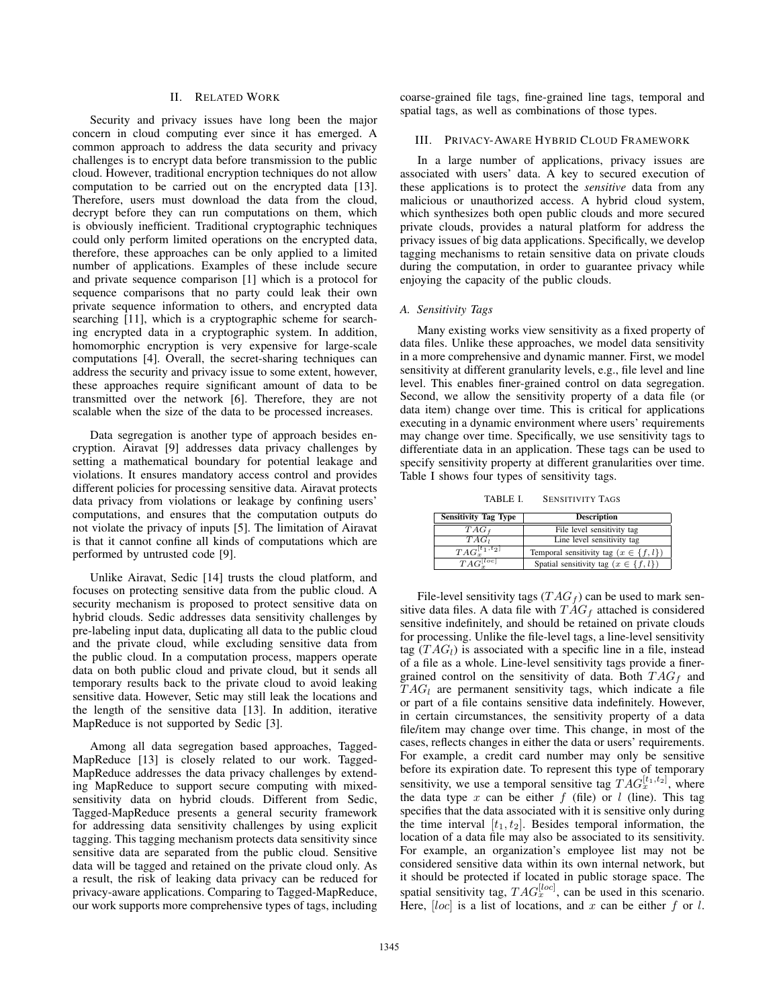## II. RELATED WORK

Security and privacy issues have long been the major concern in cloud computing ever since it has emerged. A common approach to address the data security and privacy challenges is to encrypt data before transmission to the public cloud. However, traditional encryption techniques do not allow computation to be carried out on the encrypted data [13]. Therefore, users must download the data from the cloud, decrypt before they can run computations on them, which is obviously inefficient. Traditional cryptographic techniques could only perform limited operations on the encrypted data, therefore, these approaches can be only applied to a limited number of applications. Examples of these include secure and private sequence comparison [1] which is a protocol for sequence comparisons that no party could leak their own private sequence information to others, and encrypted data searching [11], which is a cryptographic scheme for searching encrypted data in a cryptographic system. In addition, homomorphic encryption is very expensive for large-scale computations [4]. Overall, the secret-sharing techniques can address the security and privacy issue to some extent, however, these approaches require significant amount of data to be transmitted over the network [6]. Therefore, they are not scalable when the size of the data to be processed increases.

Data segregation is another type of approach besides encryption. Airavat [9] addresses data privacy challenges by setting a mathematical boundary for potential leakage and violations. It ensures mandatory access control and provides different policies for processing sensitive data. Airavat protects data privacy from violations or leakage by confining users' computations, and ensures that the computation outputs do not violate the privacy of inputs [5]. The limitation of Airavat is that it cannot confine all kinds of computations which are performed by untrusted code [9].

Unlike Airavat, Sedic [14] trusts the cloud platform, and focuses on protecting sensitive data from the public cloud. A security mechanism is proposed to protect sensitive data on hybrid clouds. Sedic addresses data sensitivity challenges by pre-labeling input data, duplicating all data to the public cloud and the private cloud, while excluding sensitive data from the public cloud. In a computation process, mappers operate data on both public cloud and private cloud, but it sends all temporary results back to the private cloud to avoid leaking sensitive data. However, Setic may still leak the locations and the length of the sensitive data [13]. In addition, iterative MapReduce is not supported by Sedic [3].

Among all data segregation based approaches, Tagged-MapReduce [13] is closely related to our work. Tagged-MapReduce addresses the data privacy challenges by extending MapReduce to support secure computing with mixedsensitivity data on hybrid clouds. Different from Sedic, Tagged-MapReduce presents a general security framework for addressing data sensitivity challenges by using explicit tagging. This tagging mechanism protects data sensitivity since sensitive data are separated from the public cloud. Sensitive data will be tagged and retained on the private cloud only. As a result, the risk of leaking data privacy can be reduced for privacy-aware applications. Comparing to Tagged-MapReduce, our work supports more comprehensive types of tags, including coarse-grained file tags, fine-grained line tags, temporal and spatial tags, as well as combinations of those types.

### III. PRIVACY-AWARE HYBRID CLOUD FRAMEWORK

In a large number of applications, privacy issues are associated with users' data. A key to secured execution of these applications is to protect the *sensitive* data from any malicious or unauthorized access. A hybrid cloud system, which synthesizes both open public clouds and more secured private clouds, provides a natural platform for address the privacy issues of big data applications. Specifically, we develop tagging mechanisms to retain sensitive data on private clouds during the computation, in order to guarantee privacy while enjoying the capacity of the public clouds.

# *A. Sensitivity Tags*

Many existing works view sensitivity as a fixed property of data files. Unlike these approaches, we model data sensitivity in a more comprehensive and dynamic manner. First, we model sensitivity at different granularity levels, e.g., file level and line level. This enables finer-grained control on data segregation. Second, we allow the sensitivity property of a data file (or data item) change over time. This is critical for applications executing in a dynamic environment where users' requirements may change over time. Specifically, we use sensitivity tags to differentiate data in an application. These tags can be used to specify sensitivity property at different granularities over time. Table I shows four types of sensitivity tags.

TABLE I. SENSITIVITY TAGS

| <b>Sensitivity Tag Type</b> | <b>Description</b>                          |  |
|-----------------------------|---------------------------------------------|--|
| $TAG_{f}$                   | File level sensitivity tag                  |  |
| $TAG_l$                     | Line level sensitivity tag                  |  |
| $TAG_x^{[t_1,t_2]}$         | Temporal sensitivity tag $(x \in \{f, l\})$ |  |
| $TAG^{[loc]}$               | Spatial sensitivity tag $(x \in \{f, l\})$  |  |

File-level sensitivity tags  $(TAG_f)$  can be used to mark sensitive data files. A data file with  $TAG_f$  attached is considered sensitive indefinitely, and should be retained on private clouds for processing. Unlike the file-level tags, a line-level sensitivity tag  $(TAG_l)$  is associated with a specific line in a file, instead of a file as a whole. Line-level sensitivity tags provide a finergrained control on the sensitivity of data. Both  $TAG_f$  and  $T A G_l$  are permanent sensitivity tags, which indicate a file or part of a file contains sensitive data indefinitely. However, in certain circumstances, the sensitivity property of a data file/item may change over time. This change, in most of the cases, reflects changes in either the data or users' requirements. For example, a credit card number may only be sensitive before its expiration date. To represent this type of temporary sensitivity, we use a temporal sensitive tag  $T A G_x^{[t_1,t_2]}$ , where the data type  $x$  can be either  $f$  (file) or  $l$  (line). This tag specifies that the data associated with it is sensitive only during the time interval  $[t_1, t_2]$ . Besides temporal information, the location of a data file may also be associated to its sensitivity. For example, an organization's employee list may not be considered sensitive data within its own internal network, but it should be protected if located in public storage space. The spatial sensitivity tag,  $TAG_x^{[loc]}$ , can be used in this scenario. Here, [*loc*] is a list of locations, and *x* can be either *f* or *l*.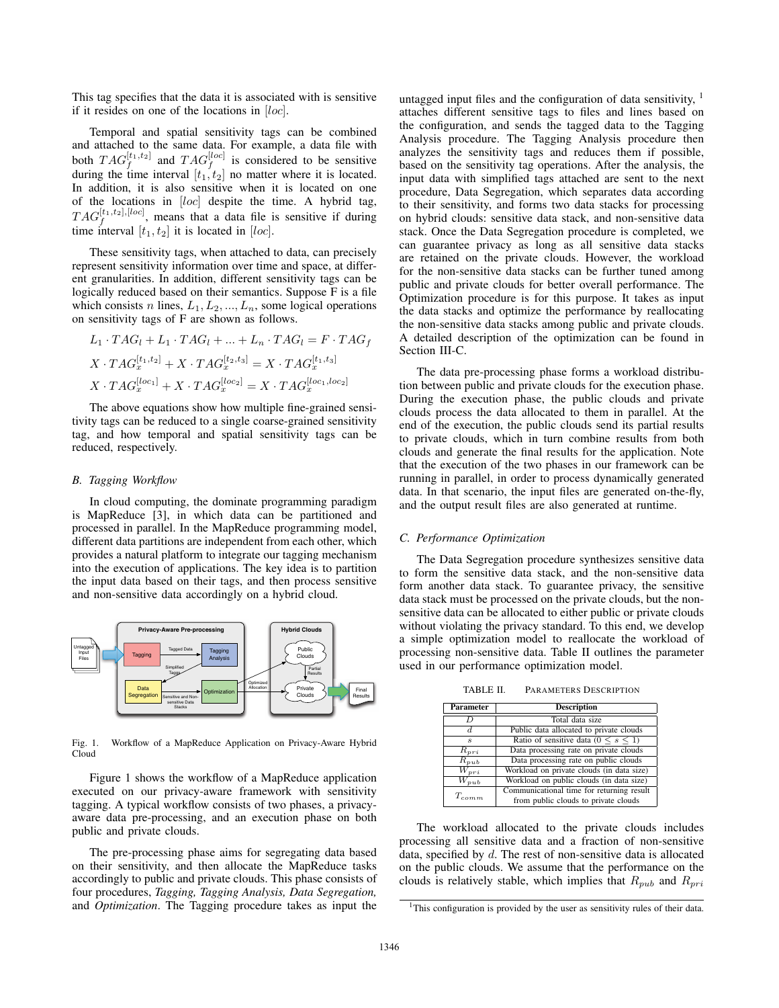This tag specifies that the data it is associated with is sensitive if it resides on one of the locations in [*loc*].

Temporal and spatial sensitivity tags can be combined and attached to the same data. For example, a data file with both  $TAG_f^{[t_1,t_2]}$  and  $TAG_f^{[loc]}$  is considered to be sensitive during the time interval  $[t_1, t_2]$  no matter where it is located. In addition, it is also sensitive when it is located on one of the locations in [*loc*] despite the time. A hybrid tag,  $TAG_f^{[t_1,t_2],[loc]}$ , means that a data file is sensitive if during time interval  $[t_1, t_2]$  it is located in [*loc*].

These sensitivity tags, when attached to data, can precisely represent sensitivity information over time and space, at different granularities. In addition, different sensitivity tags can be logically reduced based on their semantics. Suppose F is a file which consists *n* lines,  $L_1, L_2, ..., L_n$ , some logical operations on sensitivity tags of F are shown as follows.

$$
L_1 \cdot TAG_1 + L_1 \cdot TAG_1 + \dots + L_n \cdot TAG_1 = F \cdot TAG_f
$$
  

$$
X \cdot TAG_x^{[t_1, t_2]} + X \cdot TAG_x^{[t_2, t_3]} = X \cdot TAG_x^{[t_1, t_3]}
$$
  

$$
X \cdot TAG_x^{[loc_1]} + X \cdot TAG_x^{[loc_2]} = X \cdot TAG_x^{[loc_1, loc_2]}
$$

The above equations show how multiple fine-grained sensitivity tags can be reduced to a single coarse-grained sensitivity tag, and how temporal and spatial sensitivity tags can be reduced, respectively.

## *B. Tagging Workflow*

In cloud computing, the dominate programming paradigm is MapReduce [3], in which data can be partitioned and processed in parallel. In the MapReduce programming model, different data partitions are independent from each other, which provides a natural platform to integrate our tagging mechanism into the execution of applications. The key idea is to partition the input data based on their tags, and then process sensitive and non-sensitive data accordingly on a hybrid cloud.



Fig. 1. Workflow of a MapReduce Application on Privacy-Aware Hybrid Cloud

Figure 1 shows the workflow of a MapReduce application executed on our privacy-aware framework with sensitivity tagging. A typical workflow consists of two phases, a privacyaware data pre-processing, and an execution phase on both public and private clouds.

The pre-processing phase aims for segregating data based on their sensitivity, and then allocate the MapReduce tasks accordingly to public and private clouds. This phase consists of four procedures, *Tagging, Tagging Analysis, Data Segregation,* and *Optimization*. The Tagging procedure takes as input the untagged input files and the configuration of data sensitivity,  $1$ attaches different sensitive tags to files and lines based on the configuration, and sends the tagged data to the Tagging Analysis procedure. The Tagging Analysis procedure then analyzes the sensitivity tags and reduces them if possible, based on the sensitivity tag operations. After the analysis, the input data with simplified tags attached are sent to the next procedure, Data Segregation, which separates data according to their sensitivity, and forms two data stacks for processing on hybrid clouds: sensitive data stack, and non-sensitive data stack. Once the Data Segregation procedure is completed, we can guarantee privacy as long as all sensitive data stacks are retained on the private clouds. However, the workload for the non-sensitive data stacks can be further tuned among public and private clouds for better overall performance. The Optimization procedure is for this purpose. It takes as input the data stacks and optimize the performance by reallocating the non-sensitive data stacks among public and private clouds. A detailed description of the optimization can be found in Section III-C.

The data pre-processing phase forms a workload distribution between public and private clouds for the execution phase. During the execution phase, the public clouds and private clouds process the data allocated to them in parallel. At the end of the execution, the public clouds send its partial results to private clouds, which in turn combine results from both clouds and generate the final results for the application. Note that the execution of the two phases in our framework can be running in parallel, in order to process dynamically generated data. In that scenario, the input files are generated on-the-fly, and the output result files are also generated at runtime.

## *C. Performance Optimization*

The Data Segregation procedure synthesizes sensitive data to form the sensitive data stack, and the non-sensitive data form another data stack. To guarantee privacy, the sensitive data stack must be processed on the private clouds, but the nonsensitive data can be allocated to either public or private clouds without violating the privacy standard. To this end, we develop a simple optimization model to reallocate the workload of processing non-sensitive data. Table II outlines the parameter used in our performance optimization model.

TABLE II. PARAMETERS DESCRIPTION

| Parameter            | <b>Description</b>                            |  |
|----------------------|-----------------------------------------------|--|
| D                    | Total data size                               |  |
| d.                   | Public data allocated to private clouds       |  |
| s                    | Ratio of sensitive data ( $0 \leq s \leq 1$ ) |  |
| $R_{pri}$            | Data processing rate on private clouds        |  |
| $R_{pub}$            | Data processing rate on public clouds         |  |
| $\overline{W}_{pri}$ | Workload on private clouds (in data size)     |  |
| $W_{pub}$            | Workload on public clouds (in data size)      |  |
| $T_{comm}$           | Communicational time for returning result     |  |
|                      | from public clouds to private clouds          |  |

The workload allocated to the private clouds includes processing all sensitive data and a fraction of non-sensitive data, specified by *d*. The rest of non-sensitive data is allocated on the public clouds. We assume that the performance on the clouds is relatively stable, which implies that  $R_{pub}$  and  $R_{pri}$ 

<sup>&</sup>lt;sup>1</sup>This configuration is provided by the user as sensitivity rules of their data.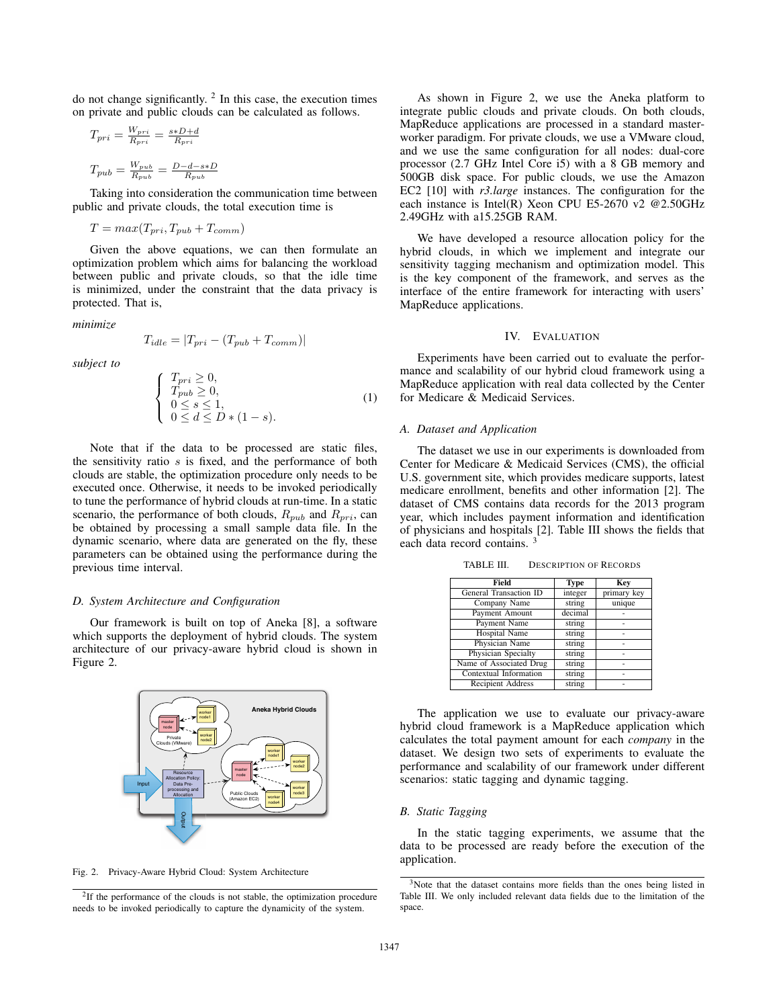do not change significantly.  $2 \text{ In this case, the execution times}$ on private and public clouds can be calculated as follows.

$$
T_{pri} = \frac{W_{pri}}{R_{pri}} = \frac{s*D+d}{R_{pri}}
$$

$$
T_{pub} = \frac{W_{pub}}{R_{pub}} = \frac{D-d-s*D}{R_{pub}}
$$

Taking into consideration the communication time between public and private clouds, the total execution time is

$$
T = max(T_{pri}, T_{pub} + T_{comm})
$$

Given the above equations, we can then formulate an optimization problem which aims for balancing the workload between public and private clouds, so that the idle time is minimized, under the constraint that the data privacy is protected. That is,

*minimize*

$$
T_{idle} = |T_{pri} - (T_{pub} + T_{comm})|
$$

*subject to*

$$
\begin{cases}\nT_{pri} \geq 0, \\
T_{pub} \geq 0, \\
0 \leq s \leq 1, \\
0 \leq d \leq D * (1 - s).\n\end{cases}
$$
\n(1)

Note that if the data to be processed are static files, the sensitivity ratio *s* is fixed, and the performance of both clouds are stable, the optimization procedure only needs to be executed once. Otherwise, it needs to be invoked periodically to tune the performance of hybrid clouds at run-time. In a static scenario, the performance of both clouds,  $R_{pub}$  and  $R_{pri}$ , can be obtained by processing a small sample data file. In the dynamic scenario, where data are generated on the fly, these parameters can be obtained using the performance during the previous time interval.

## *D. System Architecture and Configuration*

Our framework is built on top of Aneka [8], a software which supports the deployment of hybrid clouds. The system architecture of our privacy-aware hybrid cloud is shown in Figure 2.



Fig. 2. Privacy-Aware Hybrid Cloud: System Architecture

<sup>2</sup>If the performance of the clouds is not stable, the optimization procedure needs to be invoked periodically to capture the dynamicity of the system.

As shown in Figure 2, we use the Aneka platform to integrate public clouds and private clouds. On both clouds, MapReduce applications are processed in a standard masterworker paradigm. For private clouds, we use a VMware cloud, and we use the same configuration for all nodes: dual-core processor (2.7 GHz Intel Core i5) with a 8 GB memory and 500GB disk space. For public clouds, we use the Amazon EC2 [10] with *r3.large* instances. The configuration for the each instance is Intel(R) Xeon CPU E5-2670 v2 @2.50GHz 2.49GHz with a15.25GB RAM.

We have developed a resource allocation policy for the hybrid clouds, in which we implement and integrate our sensitivity tagging mechanism and optimization model. This is the key component of the framework, and serves as the interface of the entire framework for interacting with users' MapReduce applications.

## IV. EVALUATION

Experiments have been carried out to evaluate the performance and scalability of our hybrid cloud framework using a MapReduce application with real data collected by the Center for Medicare & Medicaid Services.

### *A. Dataset and Application*

The dataset we use in our experiments is downloaded from Center for Medicare & Medicaid Services (CMS), the official U.S. government site, which provides medicare supports, latest medicare enrollment, benefits and other information [2]. The dataset of CMS contains data records for the 2013 program year, which includes payment information and identification of physicians and hospitals [2]. Table III shows the fields that each data record contains. <sup>3</sup>

| Field                         | <b>Type</b> | Key         |
|-------------------------------|-------------|-------------|
| General Transaction ID        | integer     | primary key |
| Company Name                  | string      | unique      |
| Payment Amount                | decimal     |             |
| Payment Name                  | string      |             |
| Hospital Name                 | string      |             |
| Physician Name                | string      |             |
| Physician Specialty           | string      |             |
| Name of Associated Drug       | string      |             |
| <b>Contextual Information</b> | string      |             |
| <b>Recipient Address</b>      | string      |             |

TABLE III. DESCRIPTION OF RECORDS

The application we use to evaluate our privacy-aware hybrid cloud framework is a MapReduce application which calculates the total payment amount for each *company* in the dataset. We design two sets of experiments to evaluate the performance and scalability of our framework under different scenarios: static tagging and dynamic tagging.

## *B. Static Tagging*

In the static tagging experiments, we assume that the data to be processed are ready before the execution of the application.

<sup>&</sup>lt;sup>3</sup>Note that the dataset contains more fields than the ones being listed in Table III. We only included relevant data fields due to the limitation of the space.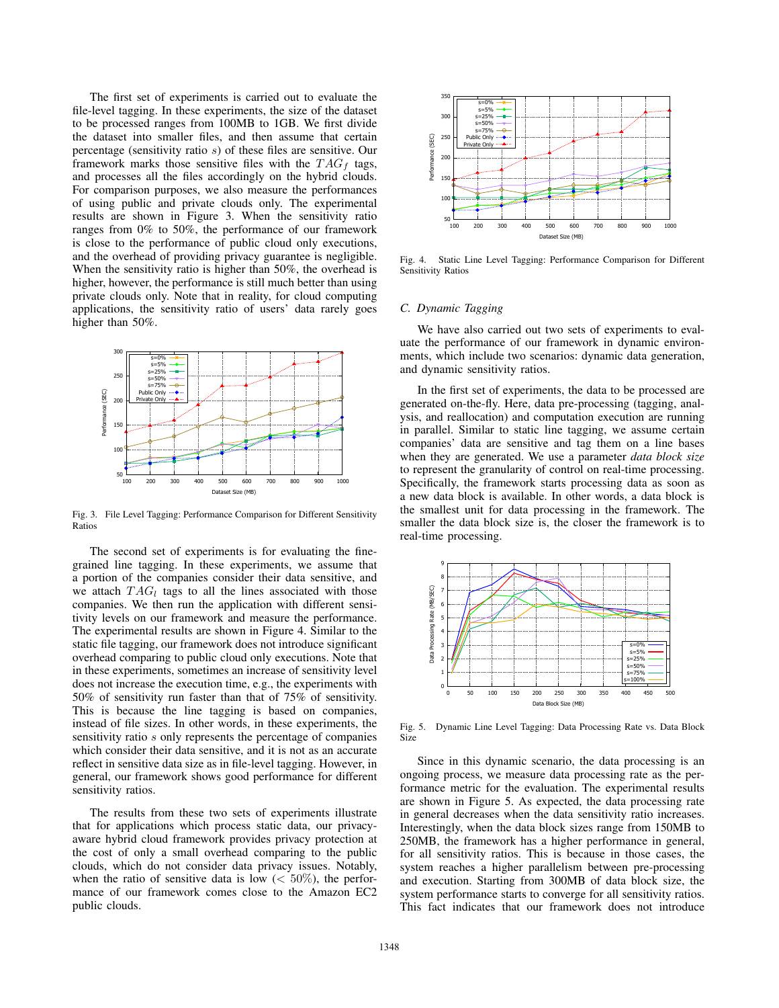The first set of experiments is carried out to evaluate the file-level tagging. In these experiments, the size of the dataset to be processed ranges from 100MB to 1GB. We first divide the dataset into smaller files, and then assume that certain percentage (sensitivity ratio *s*) of these files are sensitive. Our framework marks those sensitive files with the  $TAG<sub>f</sub>$  tags, and processes all the files accordingly on the hybrid clouds. For comparison purposes, we also measure the performances of using public and private clouds only. The experimental results are shown in Figure 3. When the sensitivity ratio ranges from 0% to 50%, the performance of our framework is close to the performance of public cloud only executions, and the overhead of providing privacy guarantee is negligible. When the sensitivity ratio is higher than 50%, the overhead is higher, however, the performance is still much better than using private clouds only. Note that in reality, for cloud computing applications, the sensitivity ratio of users' data rarely goes higher than 50%.



Fig. 3. File Level Tagging: Performance Comparison for Different Sensitivity Ratios

The second set of experiments is for evaluating the finegrained line tagging. In these experiments, we assume that a portion of the companies consider their data sensitive, and we attach  $TAG_l$  tags to all the lines associated with those companies. We then run the application with different sensitivity levels on our framework and measure the performance. The experimental results are shown in Figure 4. Similar to the static file tagging, our framework does not introduce significant overhead comparing to public cloud only executions. Note that in these experiments, sometimes an increase of sensitivity level does not increase the execution time, e.g., the experiments with 50% of sensitivity run faster than that of 75% of sensitivity. This is because the line tagging is based on companies, instead of file sizes. In other words, in these experiments, the sensitivity ratio *s* only represents the percentage of companies which consider their data sensitive, and it is not as an accurate reflect in sensitive data size as in file-level tagging. However, in general, our framework shows good performance for different sensitivity ratios.

The results from these two sets of experiments illustrate that for applications which process static data, our privacyaware hybrid cloud framework provides privacy protection at the cost of only a small overhead comparing to the public clouds, which do not consider data privacy issues. Notably, when the ratio of sensitive data is low  $(< 50\%)$ , the performance of our framework comes close to the Amazon EC2 public clouds.



Fig. 4. Static Line Level Tagging: Performance Comparison for Different Sensitivity Ratios

## *C. Dynamic Tagging*

We have also carried out two sets of experiments to evaluate the performance of our framework in dynamic environments, which include two scenarios: dynamic data generation, and dynamic sensitivity ratios.

In the first set of experiments, the data to be processed are generated on-the-fly. Here, data pre-processing (tagging, analysis, and reallocation) and computation execution are running in parallel. Similar to static line tagging, we assume certain companies' data are sensitive and tag them on a line bases when they are generated. We use a parameter *data block size* to represent the granularity of control on real-time processing. Specifically, the framework starts processing data as soon as a new data block is available. In other words, a data block is the smallest unit for data processing in the framework. The smaller the data block size is, the closer the framework is to real-time processing.



Fig. 5. Dynamic Line Level Tagging: Data Processing Rate vs. Data Block Size

Since in this dynamic scenario, the data processing is an ongoing process, we measure data processing rate as the performance metric for the evaluation. The experimental results are shown in Figure 5. As expected, the data processing rate in general decreases when the data sensitivity ratio increases. Interestingly, when the data block sizes range from 150MB to 250MB, the framework has a higher performance in general, for all sensitivity ratios. This is because in those cases, the system reaches a higher parallelism between pre-processing and execution. Starting from 300MB of data block size, the system performance starts to converge for all sensitivity ratios. This fact indicates that our framework does not introduce